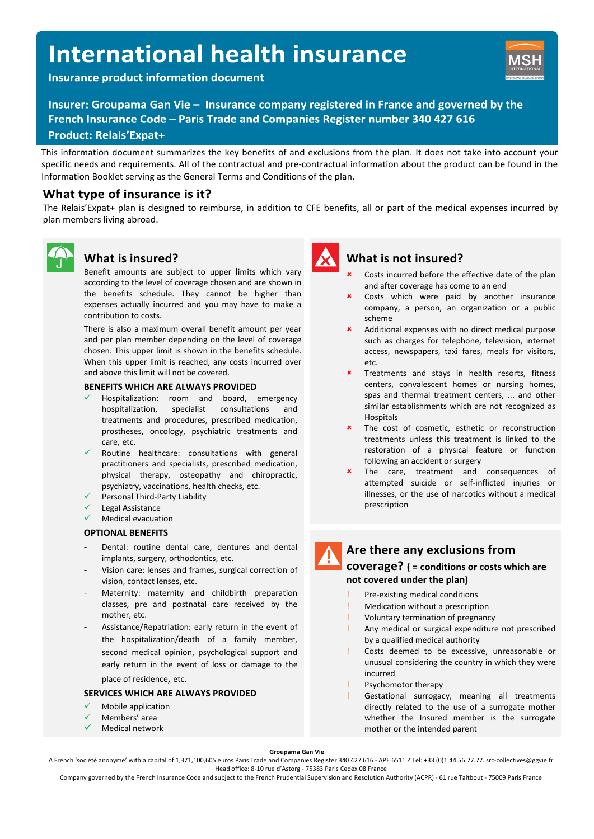# **International health insurance**

**Insurance product information document** 



Insurer: Groupama Gan Vie - Insurance company registered in France and governed by the French Insurance Code - Paris Trade and Companies Register number 340 427 616 **Product: Relais'Expat+** 

This information document summarizes the key benefits of and exclusions from the plan. It does not take into account your specific needs and requirements. All of the contractual and pre-contractual information about the product can be found in the Information Booklet serving as the General Terms and Conditions of the plan.

## **What type of insurance is it?**

The Relais'Expat+ plan is designed to reimburse, in addition to CFE benefits, all or part of the medical expenses incurred by plan members living abroad.



## **What is insured?**

Benefit amounts are subject to upper limits which vary according to the level of coverage chosen and are shown in the benefits schedule. They cannot be higher than expenses actually incurred and you may have to make a contribution to costs.

There is also a maximum overall benefit amount per year and per plan member depending on the level of coverage chosen. This upper limit is shown in the benefits schedule. When this upper limit is reached, any costs incurred over and above this limit will not be covered.

#### **BENEFITS WHICH ARE ALWAYS PROVIDED**

- Hospitalization: room and board, emergency hospitalization, specialist consultations and treatments and procedures, prescribed medication, prostheses, oncology, psychiatric treatments and care, etc.
- Routine healthcare: consultations with general practitioners and specialists, prescribed medication, physical therapy, osteopathy and chiropractic, psychiatry, vaccinations, health checks, etc.
- Personal Third-Party Liability
- Legal Assistance
- Medical evacuation

#### **OPTIONAL BENEFITS**

- Dental: routine dental care, dentures and dental implants, surgery, orthodontics, etc.
- Vision care: lenses and frames, surgical correction of vision, contact lenses, etc.
- Maternity: maternity and childbirth preparation classes, pre and postnatal care received by the mother, etc.
- Assistance/Repatriation: early return in the event of the hospitalization/death of a family member, second medical opinion, psychological support and early return in the event of loss or damage to the place of residence, etc.

#### **SERVICES WHICH ARE ALWAYS PROVIDED**

- Mobile application
- Members' area
- Medical network



### **What is not insured?**

- Costs incurred before the effective date of the plan and after coverage has come to an end
- Costs which were paid by another insurance company, a person, an organization or a public scheme
- Additional expenses with no direct medical purpose such as charges for telephone, television, internet access, newspapers, taxi fares, meals for visitors, etc.
- Treatments and stays in health resorts, fitness centers, convalescent homes or nursing homes, spas and thermal treatment centers, ... and other similar establishments which are not recognized as Hospitals
- The cost of cosmetic, esthetic or reconstruction treatments unless this treatment is linked to the restoration of a physical feature or function following an accident or surgery
- The care, treatment and consequences of attempted suicide or self-inflicted injuries or illnesses, or the use of narcotics without a medical prescription

## **Are there any exclusions from**

#### **coverage? ( = conditions or costs which are not covered under the plan)**

- Pre-existing medical conditions
- **Medication without a prescription**
- Voluntary termination of pregnancy
- Any medical or surgical expenditure not prescribed by a qualified medical authority
- Costs deemed to be excessive, unreasonable or unusual considering the country in which they were incurred
- Psychomotor therapy
- Gestational surrogacy, meaning all treatments directly related to the use of a surrogate mother whether the Insured member is the surrogate mother or the intended parent

**Groupama Gan Vie**

A French 'société anonyme' with a capital of 1,371,100,605 euros Paris Trade and Companies Register 340 427 616 - APE 6511 Z Tel: +33 (0)1.44.56.77.77. src-collectives@ggvie.fr Head office: 8-10 rue d'Astorg - 75383 Paris Cedex 08 France

Company governed by the French Insurance Code and subject to the French Prudential Supervision and Resolution Authority (ACPR) - 61 rue Taitbout - 75009 Paris France